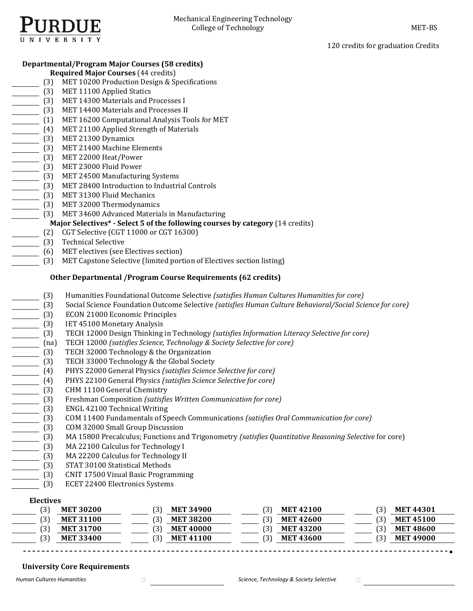

120 credits for graduation Credits

# **Departmental/Program Major Courses (58 credits)**

- **Required Major Courses** (44 credits)
	- (3) MET 10200 Production Design & Specifications
- [3] MET 11100 Applied Statics
- (3) MET 14300 Materials and Processes I
- (3) MET 14400 Materials and Processes II
- (1) MET 16200 Computational Analysis Tools for MET
- (4) MET 21100 Applied Strength of Materials
- (3) MET 21300 Dynamics
- (3) MET 21400 Machine Elements
- (3) MET 22000 Heat/Power
- **COMET 23000 Fluid Power**
- (3) MET 24500 Manufacturing Systems
- (3) MET 28400 Introduction to Industrial Controls
- [3] MET 31300 Fluid Mechanics
- $\overline{\hspace{1cm}}$  (3) MET 32000 Thermodynamics
- (3) MET 34600 Advanced Materials in Manufacturing

# **Major Selectives\* - Select 5 of the following courses by category** (14 credits) (2) CGT Selective (CGT 11000 or CGT 16300)

- CGT Selective (CGT 11000 or CGT 16300)
- (3) Technical Selective
	- (6) MET electives (see Electives section)
	- (3) MET Capstone Selective (limited portion of Electives section listing)

# **Other Departmental /Program Course Requirements (62 credits)**

- (3) Humanities Foundational Outcome Selective *(satisfies Human Cultures Humanities for core)*
- (3) Social Science Foundation Outcome Selective *(satisfies Human Culture Behavioral/Social Science for core)*
- (3) ECON 21000 Economic Principles
- (3) IET 45100 Monetary Analysis
- (3) TECH 12000 Design Thinking in Technology (satisfies *Information Literacy Selective for core*)<br>
(na) TECH 12000 (satisfies *Science, Technology* & *Society Selective for core*)<br>
(3) TECH 32000 Technology & the Global S
	- (na) TECH 12000 *(satisfies Science, Technology & Society Selective for core)*
- TECH 32000 Technology & the Organization
- TECH 33000 Technology & the Global Society
- 
- (4) PHYS 22100 General Physics *(satisfies Science Selective for core)*
- CHM 11100 General Chemistry
- (4) PHYS 22000 General Physics (satisfies Science Selective for core)<br>
(4) PHYS 22100 General Physics (satisfies *Science Selective for core*)<br>
(3) CHM 11100 General Chemistry<br>
(3) Freshman Composition (satisfies *Written*  (3) Freshman Composition *(satisfies Written Communication for core)*
- 
- (3) COM 11400 Fundamentals of Speech Communications *(satisfies Oral Communication for core)*
- COM 32000 Small Group Discussion
- (3) ENGL 42100 Technical Writing<br>
(3) COM 11400 Fundamentals of Sp<br>
(3) COM 32000 Small Group Discus<br>
(3) MA 15800 Precalculus; Function<br>
(3) MA 22100 Calculus for Technol<br>
(3) MA 22200 Calculus for Technol<br>
(3) MA 22200 C (3) MA 15800 Precalculus; Functions and Trigonometry *(satisfies Quantitative Reasoning Selective* for core)
- MA 22100 Calculus for Technology I
- MA 22200 Calculus for Technology II
- (3) STAT 30100 Statistical Methods
- (3) CNIT 17500 Visual Basic Programming
- (3) ECET 22400 Electronics Systems

# **Electives**

| <b>MET 30200</b> | 31<br><b>MET 34900</b> | <b>MET 42100</b> | <b>MET 44301</b> |
|------------------|------------------------|------------------|------------------|
| <b>MET 31100</b> | <b>MET 38200</b>       | <b>MET 42600</b> | <b>MET 45100</b> |
| <b>MET 31700</b> | <b>MET 40000</b>       | <b>MET 43200</b> | <b>MET 48600</b> |
| <b>MET 33400</b> | <b>MET 41100</b>       | <b>MET 43600</b> | <b>MET 49000</b> |

# **University Core Requirements**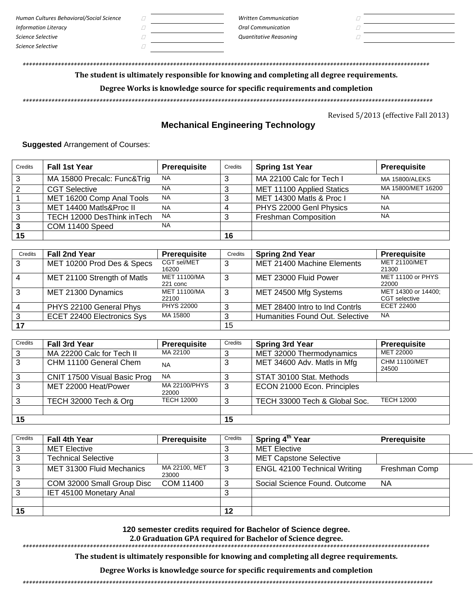| Human Cultures Behavioral/Social Science | <b>Written Communication</b> |  |
|------------------------------------------|------------------------------|--|
| Information Literacy                     | <b>Oral Communication</b>    |  |
| Science Selective                        | Quantitative Reasoning       |  |
| Science Selective                        |                              |  |

# The student is ultimately responsible for knowing and completing all degree requirements.

# Degree Works is knowledge source for specific requirements and completion

Revised 5/2013 (effective Fall 2013)

# **Mechanical Engineering Technology**

**Suggested Arrangement of Courses:** 

| Credits | <b>Fall 1st Year</b>        | Prerequisite | Credits | <b>Spring 1st Year</b>      | <b>Prerequisite</b>   |
|---------|-----------------------------|--------------|---------|-----------------------------|-----------------------|
| 3       | MA 15800 Precalc: Func&Trig | <b>NA</b>    | 3       | MA 22100 Calc for Tech I    | <b>MA 15800/ALEKS</b> |
| 2       | <b>CGT Selective</b>        | <b>NA</b>    | ົ       | MET 11100 Applied Statics   | MA 15800/MET 16200    |
|         | MET 16200 Comp Anal Tools   | <b>NA</b>    | ົ       | MET 14300 Matls & Proc I    | <b>NA</b>             |
|         | MET 14400 Matls&Proc II     | <b>NA</b>    |         | PHYS 22000 Genl Physics     | <b>NA</b>             |
| ◠       | TECH 12000 DesThink inTech  | <b>NA</b>    |         | <b>Freshman Composition</b> | <b>NA</b>             |
| 3       | COM 11400 Speed             | <b>NA</b>    |         |                             |                       |
| 15      |                             |              | 16      |                             |                       |

| Credits | <b>Fall 2nd Year</b>        | Prerequisite                 | Credits | <b>Spring 2nd Year</b>          | <b>Prerequisite</b>                         |
|---------|-----------------------------|------------------------------|---------|---------------------------------|---------------------------------------------|
| 3       | MET 10200 Prod Des & Specs  | CGT sel/MET<br>16200         | 3       | MET 21400 Machine Elements      | <b>MET 21100/MET</b><br>21300               |
| 4       | MET 21100 Strength of Matls | MET 11100/MA<br>221 conc     | 3       | MET 23000 Fluid Power           | MET 11100 or PHYS<br>22000                  |
| 3       | MET 21300 Dynamics          | <b>MET 11100/MA</b><br>22100 | 3       | MET 24500 Mfg Systems           | MET 14300 or 14400;<br><b>CGT</b> selective |
|         | PHYS 22100 General Phys     | <b>PHYS 22000</b>            | ົ       | MET 28400 Intro to Ind Contris  | ECET 22400                                  |
|         | ECET 22400 Electronics Sys  | MA 15800                     |         | Humanities Found Out. Selective | <b>NA</b>                                   |
|         |                             |                              | 15      |                                 |                                             |

| Credits | <b>Fall 3rd Year</b>         | <b>Prerequisite</b>    | Credits | <b>Spring 3rd Year</b>        | <b>Prerequisite</b>           |
|---------|------------------------------|------------------------|---------|-------------------------------|-------------------------------|
| 3       | MA 22200 Calc for Tech II    | MA 22100               |         | MET 32000 Thermodynamics      | MET 22000                     |
| 3       | CHM 11100 General Chem       | <b>NA</b>              | 3       | MET 34600 Adv. Matls in Mfg   | <b>CHM 11100/MET</b><br>24500 |
| 3       | CNIT 17500 Visual Basic Prog | <b>NA</b>              |         | STAT 30100 Stat. Methods      |                               |
| 3       | MET 22000 Heat/Power         | MA 22100/PHYS<br>22000 | 3       | ECON 21000 Econ. Principles   |                               |
| 3       | TECH 32000 Tech & Org        | <b>TECH 12000</b>      | 3       | TECH 33000 Tech & Global Soc. | <b>TECH 12000</b>             |
|         |                              |                        |         |                               |                               |
| 15      |                              |                        | 15      |                               |                               |

| Credits | <b>Fall 4th Year</b>       | Prerequisite           | Credits | Spring 4 <sup>th</sup> Year         | Prerequisite  |
|---------|----------------------------|------------------------|---------|-------------------------------------|---------------|
|         | <b>MET Elective</b>        |                        |         | <b>MET Elective</b>                 |               |
|         | <b>Technical Selective</b> |                        |         | <b>MET Capstone Selective</b>       |               |
| 3       | MET 31300 Fluid Mechanics  | MA 22100, MET<br>23000 | 3       | <b>ENGL 42100 Technical Writing</b> | Freshman Comp |
| 3       | COM 32000 Small Group Disc | COM 11400              |         | Social Science Found. Outcome       | <b>NA</b>     |
|         | IET 45100 Monetary Anal    |                        |         |                                     |               |
|         |                            |                        |         |                                     |               |
| 15      |                            |                        | 12      |                                     |               |

120 semester credits required for Bachelor of Science degree.

2.0 Graduation GPA required for Bachelor of Science degree.

The student is ultimately responsible for knowing and completing all degree requirements.

Degree Works is knowledge source for specific requirements and completion